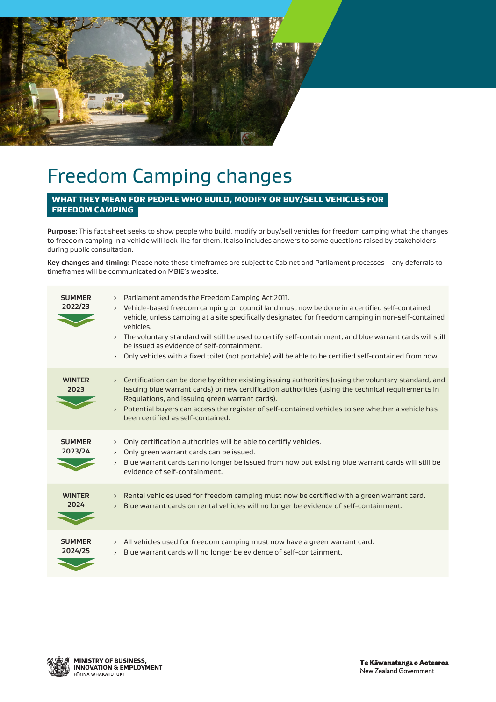

## Freedom Camping changes

### WHAT THEY MEAN FOR PEOPLE WHO BUILD, MODIFY OR BUY/SELL VEHICLES FOR FREEDOM CAMPING

**Purpose:** This fact sheet seeks to show people who build, modify or buy/sell vehicles for freedom camping what the changes to freedom camping in a vehicle will look like for them. It also includes answers to some questions raised by stakeholders during public consultation.

**Key changes and timing:** Please note these timeframes are subject to Cabinet and Parliament processes – any deferrals to timeframes will be communicated on MBIE's website.

| <b>SUMMER</b><br>2022/23 | Parliament amends the Freedom Camping Act 2011.<br>$\rightarrow$<br>> Vehicle-based freedom camping on council land must now be done in a certified self-contained<br>vehicle, unless camping at a site specifically designated for freedom camping in non-self-contained<br>vehicles.<br>The voluntary standard will still be used to certify self-containment, and blue warrant cards will still<br>$\rightarrow$<br>be issued as evidence of self-containment.<br>Only vehicles with a fixed toilet (not portable) will be able to be certified self-contained from now.<br>$\rightarrow$ |
|--------------------------|----------------------------------------------------------------------------------------------------------------------------------------------------------------------------------------------------------------------------------------------------------------------------------------------------------------------------------------------------------------------------------------------------------------------------------------------------------------------------------------------------------------------------------------------------------------------------------------------|
| <b>WINTER</b><br>2023    | > Certification can be done by either existing issuing authorities (using the voluntary standard, and<br>issuing blue warrant cards) or new certification authorities (using the technical requirements in<br>Regulations, and issuing green warrant cards).<br>Potential buyers can access the register of self-contained vehicles to see whether a vehicle has<br>$\rightarrow$<br>been certified as self-contained.                                                                                                                                                                       |
| <b>SUMMER</b><br>2023/24 | Only certification authorities will be able to certifiy vehicles.<br>$\sum$<br>Only green warrant cards can be issued.<br>$\rightarrow$<br>Blue warrant cards can no longer be issued from now but existing blue warrant cards will still be<br>$\rightarrow$<br>evidence of self-containment.                                                                                                                                                                                                                                                                                               |
| <b>WINTER</b><br>2024    | Rental vehicles used for freedom camping must now be certified with a green warrant card.<br>$\sum$<br>Blue warrant cards on rental vehicles will no longer be evidence of self-containment.<br>$\left( \right)$                                                                                                                                                                                                                                                                                                                                                                             |
| <b>SUMMER</b><br>2024/25 | $\rightarrow$ All vehicles used for freedom camping must now have a green warrant card.<br>Blue warrant cards will no longer be evidence of self-containment.<br>$\left\langle \right\rangle$                                                                                                                                                                                                                                                                                                                                                                                                |